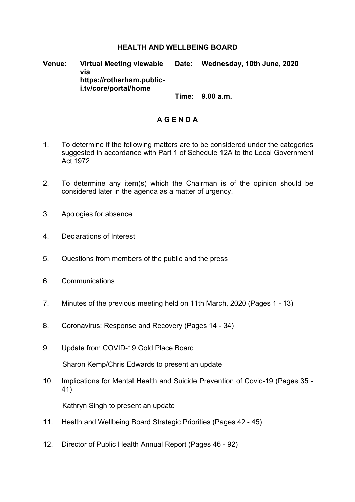## **HEALTH AND WELLBEING BOARD**

**Venue: Virtual Meeting viewable via https://rotherham.publici.tv/core/portal/home Date: Wednesday, 10th June, 2020**

**Time: 9.00 a.m.**

## **A G E N D A**

- 1. To determine if the following matters are to be considered under the categories suggested in accordance with Part 1 of Schedule 12A to the Local Government Act 1972
- 2. To determine any item(s) which the Chairman is of the opinion should be considered later in the agenda as a matter of urgency.
- 3. Apologies for absence
- 4. Declarations of Interest
- 5. Questions from members of the public and the press
- 6. Communications
- 7. Minutes of the previous meeting held on 11th March, 2020 (Pages 1 13)
- 8. Coronavirus: Response and Recovery (Pages 14 34)
- 9. Update from COVID-19 Gold Place Board

Sharon Kemp/Chris Edwards to present an update

10. Implications for Mental Health and Suicide Prevention of Covid-19 (Pages 35 - 41)

Kathryn Singh to present an update

- 11. Health and Wellbeing Board Strategic Priorities (Pages 42 45)
- 12. Director of Public Health Annual Report (Pages 46 92)